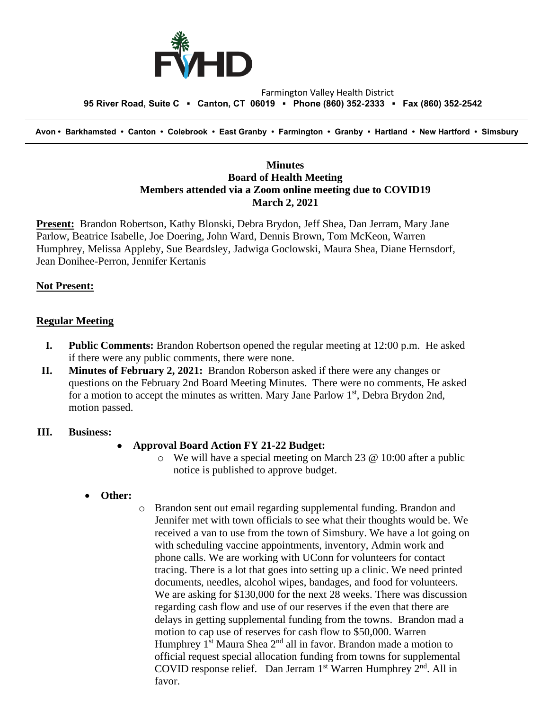

#### Farmington Valley Health District  **95 River Road, Suite C ▪ Canton, CT 06019 ▪ Phone (860) 352-2333 ▪ Fax (860) 352-2542**

 **Avon • Barkhamsted • Canton • Colebrook • East Granby • Farmington • Granby • Hartland • New Hartford • Simsbury**

## **Minutes Board of Health Meeting Members attended via a Zoom online meeting due to COVID19 March 2, 2021**

**Present:** Brandon Robertson, Kathy Blonski, Debra Brydon, Jeff Shea, Dan Jerram, Mary Jane Parlow, Beatrice Isabelle, Joe Doering, John Ward, Dennis Brown, Tom McKeon, Warren Humphrey, Melissa Appleby, Sue Beardsley, Jadwiga Goclowski, Maura Shea, Diane Hernsdorf, Jean Donihee-Perron, Jennifer Kertanis

## **Not Present:**

### **Regular Meeting**

- **I. Public Comments:** Brandon Robertson opened the regular meeting at 12:00 p.m. He asked if there were any public comments, there were none.
- **II. Minutes of February 2, 2021:** Brandon Roberson asked if there were any changes or questions on the February 2nd Board Meeting Minutes. There were no comments, He asked for a motion to accept the minutes as written. Mary Jane Parlow 1<sup>st</sup>, Debra Brydon 2nd, motion passed.

#### **III. Business:**

#### • **Approval Board Action FY 21-22 Budget:**

- o We will have a special meeting on March 23 @ 10:00 after a public notice is published to approve budget.
- **Other:**
- o Brandon sent out email regarding supplemental funding. Brandon and Jennifer met with town officials to see what their thoughts would be. We received a van to use from the town of Simsbury. We have a lot going on with scheduling vaccine appointments, inventory, Admin work and phone calls. We are working with UConn for volunteers for contact tracing. There is a lot that goes into setting up a clinic. We need printed documents, needles, alcohol wipes, bandages, and food for volunteers. We are asking for \$130,000 for the next 28 weeks. There was discussion regarding cash flow and use of our reserves if the even that there are delays in getting supplemental funding from the towns. Brandon mad a motion to cap use of reserves for cash flow to \$50,000. Warren Humphrey  $1<sup>st</sup>$  Maura Shea  $2<sup>nd</sup>$  all in favor. Brandon made a motion to official request special allocation funding from towns for supplemental COVID response relief. Dan Jerram  $1<sup>st</sup>$  Warren Humphrey  $2<sup>nd</sup>$ . All in favor.